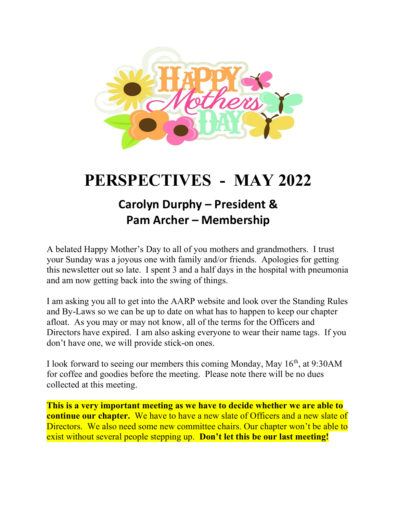

# PERSPECTIVES - MAY 2022

# Carolyn Durphy – President & Pam Archer – Membership

A belated Happy Mother's Day to all of you mothers and grandmothers. I trust your Sunday was a joyous one with family and/or friends. Apologies for getting this newsletter out so late. I spent 3 and a half days in the hospital with pneumonia and am now getting back into the swing of things.

I am asking you all to get into the AARP website and look over the Standing Rules and By-Laws so we can be up to date on what has to happen to keep our chapter afloat. As you may or may not know, all of the terms for the Officers and Directors have expired. I am also asking everyone to wear their name tags. If you don't have one, we will provide stick-on ones.

I look forward to seeing our members this coming Monday, May  $16<sup>th</sup>$ , at 9:30AM for coffee and goodies before the meeting. Please note there will be no dues collected at this meeting.

This is a very important meeting as we have to decide whether we are able to continue our chapter. We have to have a new slate of Officers and a new slate of Directors. We also need some new committee chairs. Our chapter won't be able to exist without several people stepping up. Don't let this be our last meeting!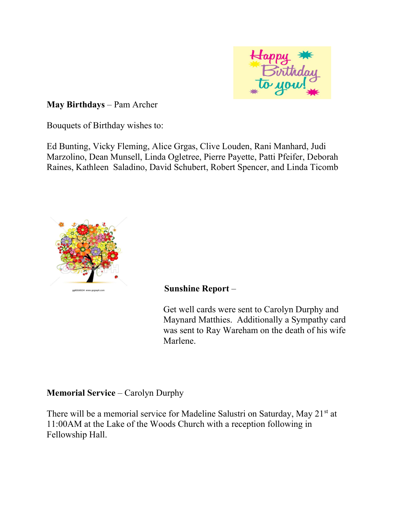

May Birthdays – Pam Archer

Bouquets of Birthday wishes to:

Ed Bunting, Vicky Fleming, Alice Grgas, Clive Louden, Rani Manhard, Judi Marzolino, Dean Munsell, Linda Ogletree, Pierre Payette, Patti Pfeifer, Deborah Raines, Kathleen Saladino, David Schubert, Robert Spencer, and Linda Ticomb



#### Sunshine Report –

Get well cards were sent to Carolyn Durphy and Maynard Matthies. Additionally a Sympathy card was sent to Ray Wareham on the death of his wife Marlene.

## Memorial Service – Carolyn Durphy

There will be a memorial service for Madeline Salustri on Saturday, May 21st at 11:00AM at the Lake of the Woods Church with a reception following in Fellowship Hall.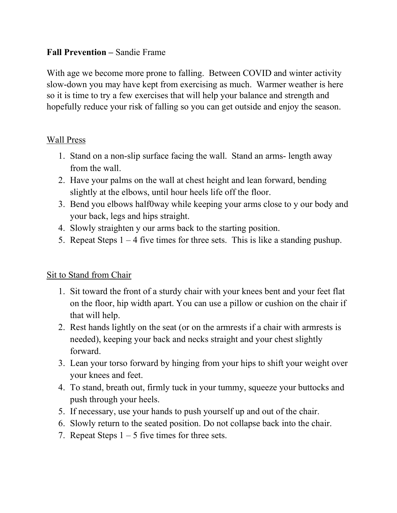#### Fall Prevention – Sandie Frame

With age we become more prone to falling. Between COVID and winter activity slow-down you may have kept from exercising as much. Warmer weather is here so it is time to try a few exercises that will help your balance and strength and hopefully reduce your risk of falling so you can get outside and enjoy the season.

## Wall Press

- 1. Stand on a non-slip surface facing the wall. Stand an arms- length away from the wall.
- 2. Have your palms on the wall at chest height and lean forward, bending slightly at the elbows, until hour heels life off the floor.
- 3. Bend you elbows half0way while keeping your arms close to y our body and your back, legs and hips straight.
- 4. Slowly straighten y our arms back to the starting position.
- 5. Repeat Steps  $1 4$  five times for three sets. This is like a standing pushup.

## Sit to Stand from Chair

- 1. Sit toward the front of a sturdy chair with your knees bent and your feet flat on the floor, hip width apart. You can use a pillow or cushion on the chair if that will help.
- 2. Rest hands lightly on the seat (or on the armrests if a chair with armrests is needed), keeping your back and necks straight and your chest slightly forward.
- 3. Lean your torso forward by hinging from your hips to shift your weight over your knees and feet.
- 4. To stand, breath out, firmly tuck in your tummy, squeeze your buttocks and push through your heels.
- 5. If necessary, use your hands to push yourself up and out of the chair.
- 6. Slowly return to the seated position. Do not collapse back into the chair.
- 7. Repeat Steps  $1 5$  five times for three sets.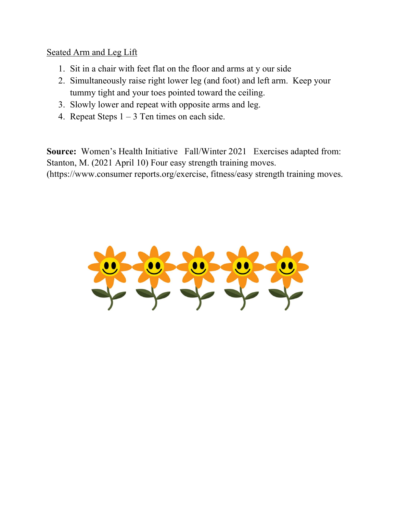#### Seated Arm and Leg Lift

- 1. Sit in a chair with feet flat on the floor and arms at y our side
- 2. Simultaneously raise right lower leg (and foot) and left arm. Keep your tummy tight and your toes pointed toward the ceiling.
- 3. Slowly lower and repeat with opposite arms and leg.
- 4. Repeat Steps  $1 3$  Ten times on each side.

Source: Women's Health Initiative Fall/Winter 2021 Exercises adapted from: Stanton, M. (2021 April 10) Four easy strength training moves. (https://www.consumer reports.org/exercise, fitness/easy strength training moves.